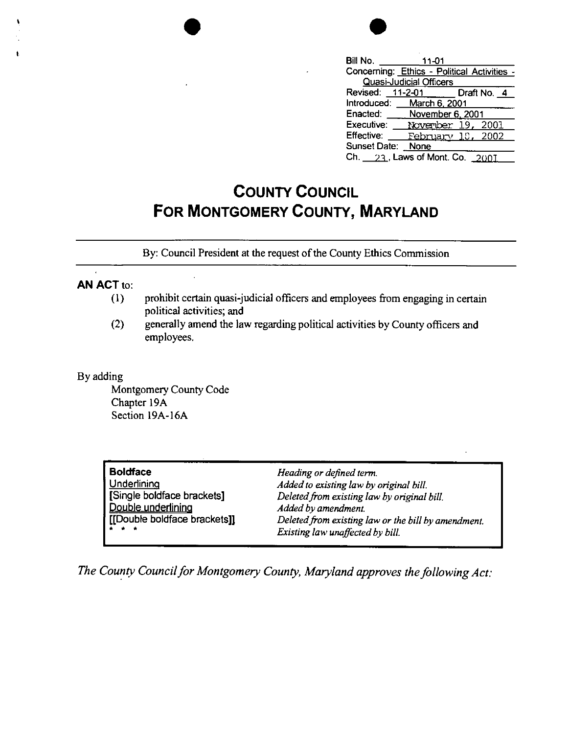|           | Bill No.<br>11-01                             |
|-----------|-----------------------------------------------|
|           | Concerning: Ethics - Political Activities -   |
| $\bullet$ | Quasi-Judicial Officers                       |
|           | 11-2-01<br>Revised:<br>Draft No. 4            |
|           | Introduced:<br>March 6, 2001                  |
|           | Enacted:<br>November 6, 2001                  |
|           | Executive:<br>November 19,<br>2001            |
|           | <b>Effective:</b><br><u>February 18, 2002</u> |
|           | <b>Sunset Date:</b><br>None                   |
|           | Ch. 23, Laws of Mont. Co. 2001                |

## **COUNTY COUNCIL FOR MONTGOMERY COUNTY, MARYLAND**

By: Council President at the request of the County Ethics Commission

## **AN ACT** to:

- (I) prohibit certain quasi-judicial officers and employees from engaging in certain political activities; and
- (2) generally amend the law regarding political activities by County officers and employees.

## By adding

Montgomery County Code Chapter 19A Section 19A-16A

| <b>Boldface</b>              | Heading or defined term.                            |
|------------------------------|-----------------------------------------------------|
| Underlining                  | Added to existing law by original bill.             |
| [Single boldface brackets]   | Deleted from existing law by original bill.         |
| Double underlining           | Added by amendment.                                 |
| [[Double boldface brackets]] | Deleted from existing law or the bill by amendment. |
| .                            | Existing law unaffected by bill.                    |

*The County Council for Montgomery County, Maryland approves the following Act:*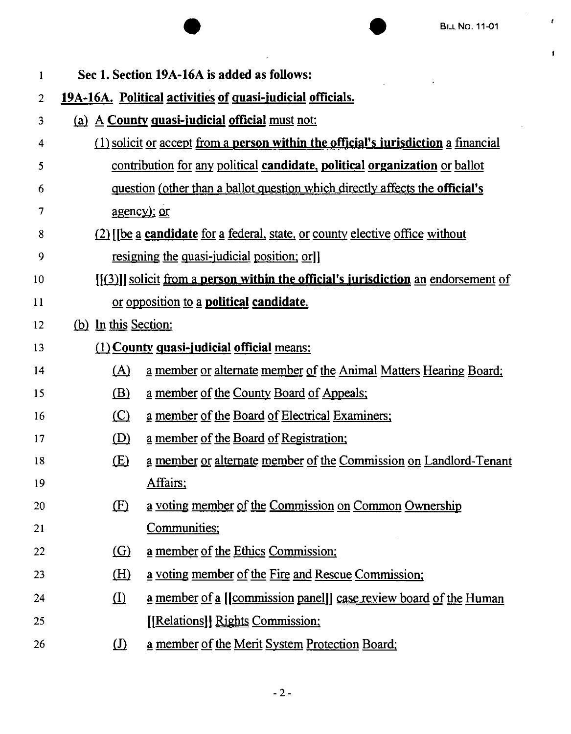$\pmb{\ell}$ 

 $\mathbf{j}$ 

| 1              |                                                                              | Sec 1. Section 19A-16A is added as follows:                                                 |  |
|----------------|------------------------------------------------------------------------------|---------------------------------------------------------------------------------------------|--|
| $\overline{2}$ |                                                                              | 19A-16A. Political activities of quasi-judicial officials.                                  |  |
| 3              |                                                                              | (a) A County quasi-judicial official must not:                                              |  |
| 4              |                                                                              | $(1)$ solicit or accept from a person within the official's jurisdiction a financial        |  |
| 5              |                                                                              | contribution for any political candidate, political organization or ballot                  |  |
| 6              |                                                                              | question (other than a ballot question which directly affects the <b>official's</b>         |  |
| 7              |                                                                              | <u>agency); or</u>                                                                          |  |
| 8              | (2) [[be a candidate for a federal, state, or county elective office without |                                                                                             |  |
| 9              |                                                                              | <u>resigning the quasi-judicial position; orli</u>                                          |  |
| 10             |                                                                              | $[[(3)]]$ solicit from a <b>person within the official's jurisdiction</b> an endorsement of |  |
| 11             |                                                                              | or opposition to a <b>political candidate</b> .                                             |  |
| 12             | (b) In this Section:                                                         |                                                                                             |  |
| 13             |                                                                              | (1) County quasi-judicial official means:                                                   |  |
| 14             | (A)                                                                          | a member or alternate member of the Animal Matters Hearing Board;                           |  |
| 15             | (B)                                                                          | <u>a member of the County Board of Appeals;</u>                                             |  |
| 16             | $\circ$                                                                      | a member of the Board of Electrical Examiners;                                              |  |
| 17             | (D)                                                                          | a member of the Board of Registration;                                                      |  |
| 18             | <u>(E)</u>                                                                   | a member or alternate member of the Commission on Landlord-Tenant                           |  |
| -19            |                                                                              | Affairs;                                                                                    |  |
| 20             | (E)                                                                          | a voting member of the Commission on Common Ownership                                       |  |
| 21             |                                                                              | Communities;                                                                                |  |
| 22             | $\Omega$                                                                     | a member of the Ethics Commission;                                                          |  |
| 23             | <u>(H)</u>                                                                   | a voting member of the Fire and Rescue Commission;                                          |  |
| 24             | $\Omega$                                                                     | a member of a [[commission panel]] case review board of the Human                           |  |
| 25             |                                                                              | [[Relations]] Rights Commission;                                                            |  |
| 26             | $\Omega$                                                                     | a member of the Merit System Protection Board;                                              |  |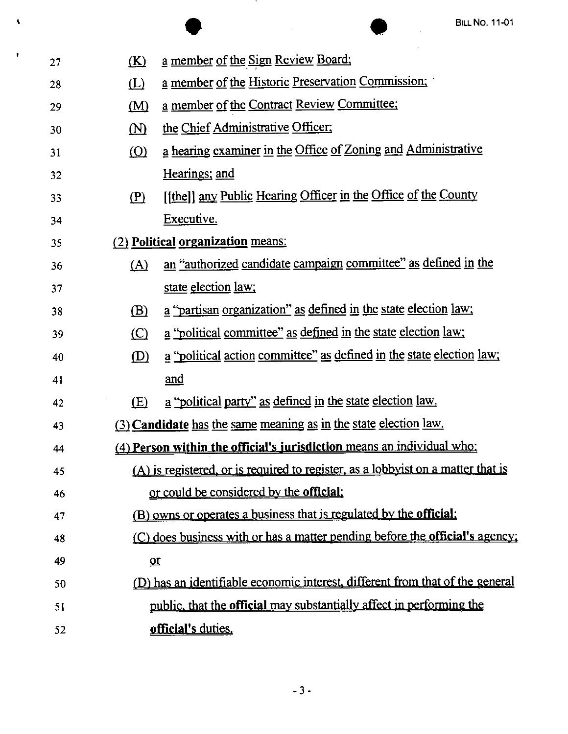|    |                                                                                     | <b>BILL NO. 11-01</b>                                                            |  |  |
|----|-------------------------------------------------------------------------------------|----------------------------------------------------------------------------------|--|--|
| 27 | <u>(K)</u>                                                                          | <u>a member of the Sign Review Board:</u>                                        |  |  |
| 28 | (L)                                                                                 | a member of the Historic Preservation Commission;                                |  |  |
| 29 | (M)                                                                                 | a member of the Contract Review Committee;                                       |  |  |
| 30 | $\textcolor{blue}{\mathbf{\textcirc}}$                                              | the Chief Administrative Officer;                                                |  |  |
| 31 | $\circ$                                                                             | a hearing examiner in the Office of Zoning and Administrative                    |  |  |
| 32 |                                                                                     | Hearings; and                                                                    |  |  |
| 33 | (P)                                                                                 | [[the]] any Public Hearing Officer in the Office of the County                   |  |  |
| 34 |                                                                                     | Executive.                                                                       |  |  |
| 35 | (2) Political organization means:                                                   |                                                                                  |  |  |
| 36 | (A)                                                                                 | an "authorized candidate campaign committee" as defined in the                   |  |  |
| 37 |                                                                                     | state election <u>law</u> ;                                                      |  |  |
| 38 | (B)                                                                                 | a "partisan organization" as defined in the state election law;                  |  |  |
| 39 | (C)                                                                                 | a "political committee" as defined in the state election law;                    |  |  |
| 40 | (D)                                                                                 | a "political action committee" as defined in the state election law;             |  |  |
| 41 |                                                                                     | and                                                                              |  |  |
| 42 | (E)                                                                                 | a "political party" as defined in the state election law.                        |  |  |
| 43 |                                                                                     | (3) Candidate has the same meaning as in the state election law.                 |  |  |
| 44 |                                                                                     | (4) Person within the official's jurisdiction means an individual who:           |  |  |
| 45 |                                                                                     | (A) is registered, or is required to register, as a lobbyist on a matter that is |  |  |
| 46 |                                                                                     | or could be considered by the official.                                          |  |  |
| 47 |                                                                                     | (B) owns or operates a business that is regulated by the <b>official</b> ;       |  |  |
| 48 | (C) does business with or has a matter pending before the <b>official's</b> agency; |                                                                                  |  |  |
| 49 | $\underline{\mathbf{u}}$                                                            |                                                                                  |  |  |
| 50 |                                                                                     | (D) has an identifiable economic interest, different from that of the general    |  |  |
| 51 |                                                                                     | public, that the official may substantially affect in performing the             |  |  |
| 52 |                                                                                     | official's duties.                                                               |  |  |

 $\bar{\mathbf{v}}$ 

 $\mathbf{r}$